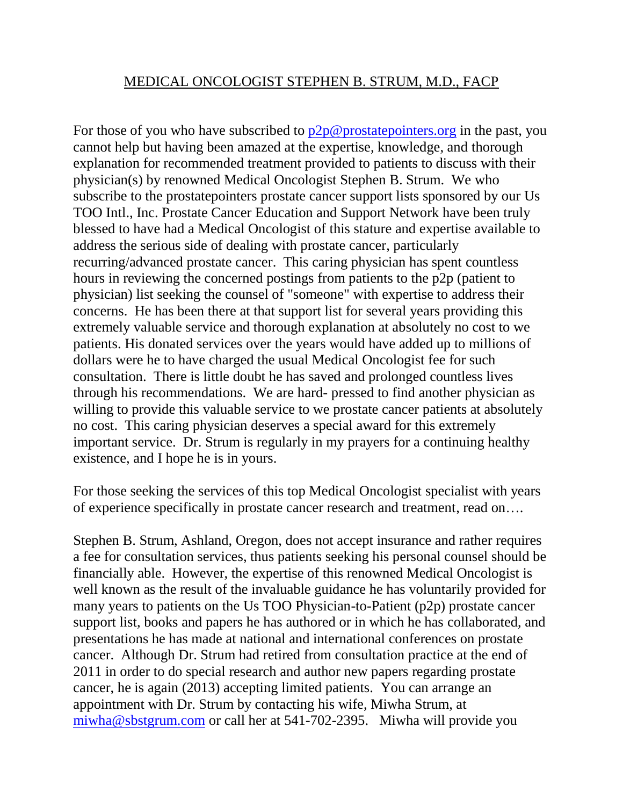## MEDICAL ONCOLOGIST STEPHEN B. STRUM, M.D., FACP

For those of you who have subscribed to  $p2p@$  prostate pointers.org in the past, you cannot help but having been amazed at the expertise, knowledge, and thorough explanation for recommended treatment provided to patients to discuss with their physician(s) by renowned Medical Oncologist Stephen B. Strum. We who subscribe to the prostatepointers prostate cancer support lists sponsored by our Us TOO Intl., Inc. Prostate Cancer Education and Support Network have been truly blessed to have had a Medical Oncologist of this stature and expertise available to address the serious side of dealing with prostate cancer, particularly recurring/advanced prostate cancer. This caring physician has spent countless hours in reviewing the concerned postings from patients to the p2p (patient to physician) list seeking the counsel of "someone" with expertise to address their concerns. He has been there at that support list for several years providing this extremely valuable service and thorough explanation at absolutely no cost to we patients. His donated services over the years would have added up to millions of dollars were he to have charged the usual Medical Oncologist fee for such consultation. There is little doubt he has saved and prolonged countless lives through his recommendations. We are hard- pressed to find another physician as willing to provide this valuable service to we prostate cancer patients at absolutely no cost. This caring physician deserves a special award for this extremely important service. Dr. Strum is regularly in my prayers for a continuing healthy existence, and I hope he is in yours.

For those seeking the services of this top Medical Oncologist specialist with years of experience specifically in prostate cancer research and treatment, read on….

Stephen B. Strum, Ashland, Oregon, does not accept insurance and rather requires a fee for consultation services, thus patients seeking his personal counsel should be financially able. However, the expertise of this renowned Medical Oncologist is well known as the result of the invaluable guidance he has voluntarily provided for many years to patients on the Us TOO Physician-to-Patient (p2p) prostate cancer support list, books and papers he has authored or in which he has collaborated, and presentations he has made at national and international conferences on prostate cancer. Although Dr. Strum had retired from consultation practice at the end of 2011 in order to do special research and author new papers regarding prostate cancer, he is again (2013) accepting limited patients. You can arrange an appointment with Dr. Strum by contacting his wife, Miwha Strum, at [miwha@sbstgrum.com](mailto:miwha@sbstgrum.com) or call her at 541-702-2395. Miwha will provide you